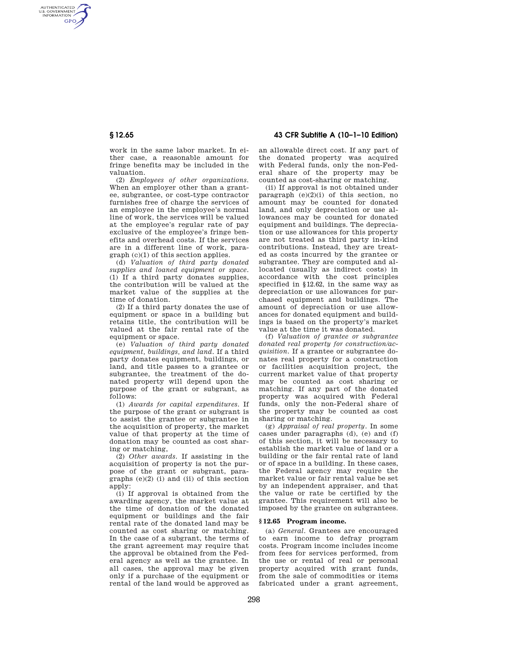AUTHENTICATED<br>U.S. GOVERNMENT<br>INFORMATION **GPO** 

**§ 12.65 43 CFR Subtitle A (10–1–10 Edition)** 

work in the same labor market. In either case, a reasonable amount for fringe benefits may be included in the valuation.

(2) *Employees of other organizations.*  When an employer other than a grantee, subgrantee, or cost-type contractor furnishes free of charge the services of an employee in the employee's normal line of work, the services will be valued at the employee's regular rate of pay exclusive of the employee's fringe benefits and overhead costs. If the services are in a different line of work, paragraph (c)(1) of this section applies.

(d) *Valuation of third party donated supplies and loaned equipment or space.*  (1) If a third party donates supplies, the contribution will be valued at the market value of the supplies at the time of donation.

(2) If a third party donates the use of equipment or space in a building but retains title, the contribution will be valued at the fair rental rate of the equipment or space.

(e) *Valuation of third party donated equipment, buildings, and land.* If a third party donates equipment, buildings, or land, and title passes to a grantee or subgrantee, the treatment of the donated property will depend upon the purpose of the grant or subgrant, as follows:

(1) *Awards for capital expenditures.* If the purpose of the grant or subgrant is to assist the grantee or subgrantee in the acquisition of property, the market value of that property at the time of donation may be counted as cost sharing or matching,

(2) *Other awards.* If assisting in the acquisition of property is not the purpose of the grant or subgrant, paragraphs (e)(2) (i) and (ii) of this section apply:

(i) If approval is obtained from the awarding agency, the market value at the time of donation of the donated equipment or buildings and the fair rental rate of the donated land may be counted as cost sharing or matching. In the case of a subgrant, the terms of the grant agreement may require that the approval be obtained from the Federal agency as well as the grantee. In all cases, the approval may be given only if a purchase of the equipment or rental of the land would be approved as

an allowable direct cost. If any part of the donated property was acquired with Federal funds, only the non-Federal share of the property may be counted as cost-sharing or matching.

(ii) If approval is not obtained under paragraph  $(e)(2)(i)$  of this section, no amount may be counted for donated land, and only depreciation or use allowances may be counted for donated equipment and buildings. The depreciation or use allowances for this property are not treated as third party in-kind contributions. Instead, they are treated as costs incurred by the grantee or subgrantee. They are computed and allocated (usually as indirect costs) in accordance with the cost principles specified in §12.62, in the same way as depreciation or use allowances for purchased equipment and buildings. The amount of depreciation or use allowances for donated equipment and buildings is based on the property's market value at the time it was donated.

(f) *Valuation of grantee or subgrantee donated real property for construction/acquisition.* If a grantee or subgrantee donates real property for a construction or facilities acquisition project, the current market value of that property may be counted as cost sharing or matching. If any part of the donated property was acquired with Federal funds, only the non-Federal share of the property may be counted as cost sharing or matching.

(g) *Appraisal of real property.* In some cases under paragraphs (d), (e) and (f) of this section, it will be necessary to establish the market value of land or a building or the fair rental rate of land or of space in a building. In these cases, the Federal agency may require the market value or fair rental value be set by an independent appraiser, and that the value or rate be certified by the grantee. This requirement will also be imposed by the grantee on subgrantees.

## **§ 12.65 Program income.**

(a) *General.* Grantees are encouraged to earn income to defray program costs. Program income includes income from fees for services performed, from the use or rental of real or personal property acquired with grant funds, from the sale of commodities or items fabricated under a grant agreement,